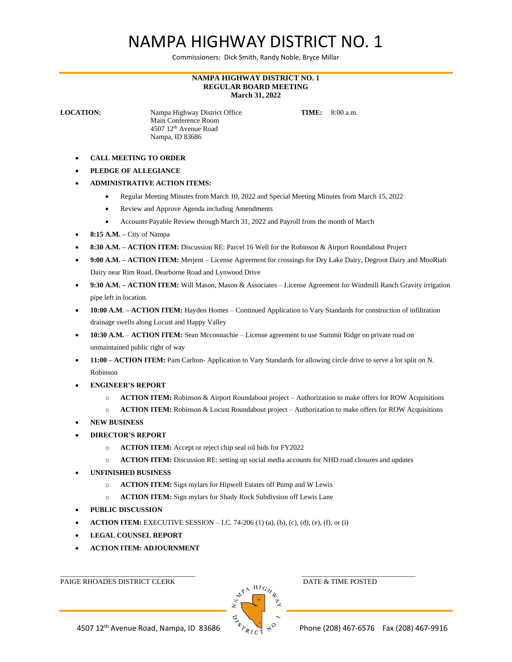## NAMPA HIGHWAY DISTRICT NO. 1

Commissioners: Dick Smith, Randy Noble, Bryce Millar

## **NAMPA HIGHWAY DISTRICT NO. 1 REGULAR BOARD MEETING March 31, 2022**

**LOCATION:** Nampa Highway District Office **TIME:** 8:00 a.m. Main Conference Room 4507 12th Avenue Road Nampa, ID 83686

- **CALL MEETING TO ORDER**
- **PLEDGE OF ALLEGIANCE**
- **ADMINISTRATIVE ACTION ITEMS:**
	- Regular Meeting Minutes from March 10, 2022 and Special Meeting Minutes from March 15, 2022
	- Review and Approve Agenda including Amendments
	- Accounts Payable Review through March 31, 2022 and Payroll from the month of March
- **8:15 A.M. –** City of Nampa
- **8:30 A.M. – ACTION ITEM:** Discussion RE: Parcel 16 Well for the Robinson & Airport Roundabout Project
- **9:00 A.M. – ACTION ITEM:** Merjent License Agreement for crossings for Dry Lake Dairy, Degroot Dairy and MooRiah Dairy near Rim Road, Dearborne Road and Lynwood Drive
- **9:30 A.M. – ACTION ITEM:** Will Mason, Mason & Associates License Agreement for Windmill Ranch Gravity irrigation pipe left in location.
- **10:00 A.M**. **– ACTION ITEM:** Hayden Homes Continued Application to Vary Standards for construction of infiltration drainage swells along Locust and Happy Valley
- **10:30 A.M. ACTION ITEM:** Sean Mcconnachie License agreement to use Summit Ridge on private road on unmaintained public right of way
- **11:00 – ACTION ITEM:** Pam Carlton- Application to Vary Standards for allowing circle drive to serve a lot split on N. Robinson
- **ENGINEER'S REPORT**
	- o **ACTION ITEM:** Robinson & Airport Roundabout project Authorization to make offers for ROW Acquisitions
	- o **ACTION ITEM:** Robinson & Locust Roundabout project Authorization to make offers for ROW Acquisitions
- **NEW BUSINESS**
- **DIRECTOR'S REPORT**
	- o **ACTION ITEM:** Accept or reject chip seal oil bids for FY2022
	- o **ACTION ITEM:** Discussion RE: setting up social media accounts for NHD road closures and updates
- **UNFINISHED BUSINESS**
	- o **ACTION ITEM:** Sign mylars for Hipwell Estates off Pump and W Lewis
	- o **ACTION ITEM:** Sign mylars for Shady Rock Subdivsion off Lewis Lane
- **PUBLIC DISCUSSION**
- **ACTION ITEM:** EXECUTIVE SESSION I.C. 74-206 (1) (a), (b), (c), (d), (e), (f), or (i)
- **LEGAL COUNSEL REPORT**
- **ACTION ITEM: ADJOURNMENT**

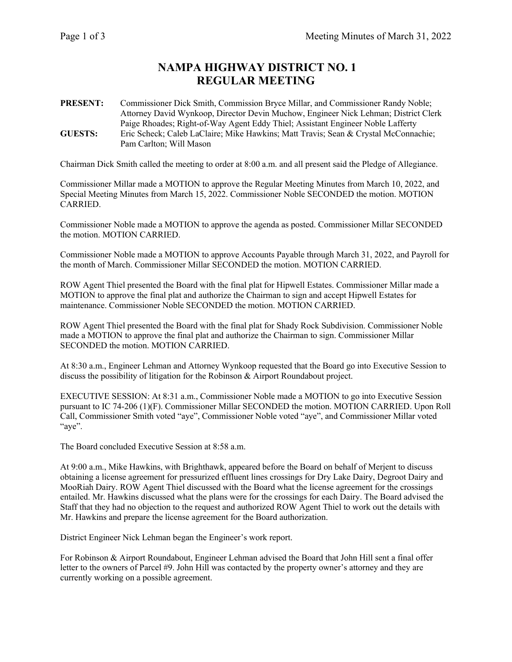## **NAMPA HIGHWAY DISTRICT NO. 1 REGULAR MEETING**

**PRESENT:** Commissioner Dick Smith, Commission Bryce Millar, and Commissioner Randy Noble; Attorney David Wynkoop, Director Devin Muchow, Engineer Nick Lehman; District Clerk Paige Rhoades; Right-of-Way Agent Eddy Thiel; Assistant Engineer Noble Lafferty **GUESTS:** Eric Scheck; Caleb LaClaire; Mike Hawkins; Matt Travis; Sean & Crystal McConnachie; Pam Carlton; Will Mason

Chairman Dick Smith called the meeting to order at 8:00 a.m. and all present said the Pledge of Allegiance.

Commissioner Millar made a MOTION to approve the Regular Meeting Minutes from March 10, 2022, and Special Meeting Minutes from March 15, 2022. Commissioner Noble SECONDED the motion. MOTION CARRIED.

Commissioner Noble made a MOTION to approve the agenda as posted. Commissioner Millar SECONDED the motion. MOTION CARRIED.

Commissioner Noble made a MOTION to approve Accounts Payable through March 31, 2022, and Payroll for the month of March. Commissioner Millar SECONDED the motion. MOTION CARRIED.

ROW Agent Thiel presented the Board with the final plat for Hipwell Estates. Commissioner Millar made a MOTION to approve the final plat and authorize the Chairman to sign and accept Hipwell Estates for maintenance. Commissioner Noble SECONDED the motion. MOTION CARRIED.

ROW Agent Thiel presented the Board with the final plat for Shady Rock Subdivision. Commissioner Noble made a MOTION to approve the final plat and authorize the Chairman to sign. Commissioner Millar SECONDED the motion. MOTION CARRIED.

At 8:30 a.m., Engineer Lehman and Attorney Wynkoop requested that the Board go into Executive Session to discuss the possibility of litigation for the Robinson & Airport Roundabout project.

EXECUTIVE SESSION: At 8:31 a.m., Commissioner Noble made a MOTION to go into Executive Session pursuant to IC 74-206 (1)(F). Commissioner Millar SECONDED the motion. MOTION CARRIED. Upon Roll Call, Commissioner Smith voted "aye", Commissioner Noble voted "aye", and Commissioner Millar voted "aye".

The Board concluded Executive Session at 8:58 a.m.

At 9:00 a.m., Mike Hawkins, with Brighthawk, appeared before the Board on behalf of Merjent to discuss obtaining a license agreement for pressurized effluent lines crossings for Dry Lake Dairy, Degroot Dairy and MooRiah Dairy. ROW Agent Thiel discussed with the Board what the license agreement for the crossings entailed. Mr. Hawkins discussed what the plans were for the crossings for each Dairy. The Board advised the Staff that they had no objection to the request and authorized ROW Agent Thiel to work out the details with Mr. Hawkins and prepare the license agreement for the Board authorization.

District Engineer Nick Lehman began the Engineer's work report.

For Robinson & Airport Roundabout, Engineer Lehman advised the Board that John Hill sent a final offer letter to the owners of Parcel #9. John Hill was contacted by the property owner's attorney and they are currently working on a possible agreement.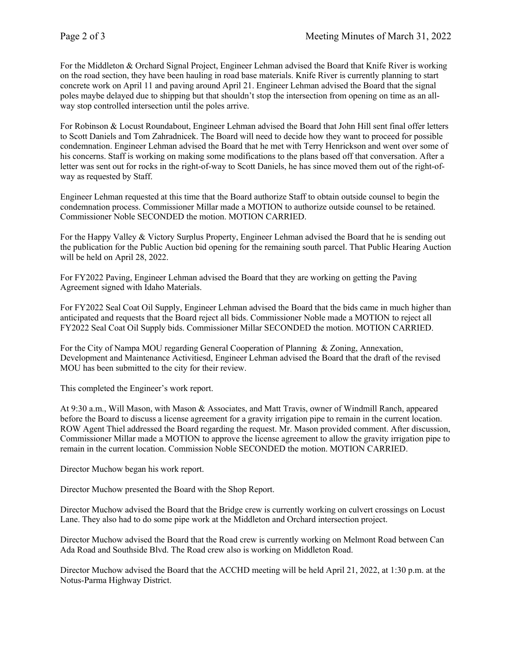For the Middleton & Orchard Signal Project, Engineer Lehman advised the Board that Knife River is working on the road section, they have been hauling in road base materials. Knife River is currently planning to start concrete work on April 11 and paving around April 21. Engineer Lehman advised the Board that the signal poles maybe delayed due to shipping but that shouldn't stop the intersection from opening on time as an allway stop controlled intersection until the poles arrive.

For Robinson & Locust Roundabout, Engineer Lehman advised the Board that John Hill sent final offer letters to Scott Daniels and Tom Zahradnicek. The Board will need to decide how they want to proceed for possible condemnation. Engineer Lehman advised the Board that he met with Terry Henrickson and went over some of his concerns. Staff is working on making some modifications to the plans based off that conversation. After a letter was sent out for rocks in the right-of-way to Scott Daniels, he has since moved them out of the right-ofway as requested by Staff.

Engineer Lehman requested at this time that the Board authorize Staff to obtain outside counsel to begin the condemnation process. Commissioner Millar made a MOTION to authorize outside counsel to be retained. Commissioner Noble SECONDED the motion. MOTION CARRIED.

For the Happy Valley & Victory Surplus Property, Engineer Lehman advised the Board that he is sending out the publication for the Public Auction bid opening for the remaining south parcel. That Public Hearing Auction will be held on April 28, 2022.

For FY2022 Paving, Engineer Lehman advised the Board that they are working on getting the Paving Agreement signed with Idaho Materials.

For FY2022 Seal Coat Oil Supply, Engineer Lehman advised the Board that the bids came in much higher than anticipated and requests that the Board reject all bids. Commissioner Noble made a MOTION to reject all FY2022 Seal Coat Oil Supply bids. Commissioner Millar SECONDED the motion. MOTION CARRIED.

For the City of Nampa MOU regarding General Cooperation of Planning & Zoning, Annexation, Development and Maintenance Activitiesd, Engineer Lehman advised the Board that the draft of the revised MOU has been submitted to the city for their review.

This completed the Engineer's work report.

At 9:30 a.m., Will Mason, with Mason & Associates, and Matt Travis, owner of Windmill Ranch, appeared before the Board to discuss a license agreement for a gravity irrigation pipe to remain in the current location. ROW Agent Thiel addressed the Board regarding the request. Mr. Mason provided comment. After discussion, Commissioner Millar made a MOTION to approve the license agreement to allow the gravity irrigation pipe to remain in the current location. Commission Noble SECONDED the motion. MOTION CARRIED.

Director Muchow began his work report.

Director Muchow presented the Board with the Shop Report.

Director Muchow advised the Board that the Bridge crew is currently working on culvert crossings on Locust Lane. They also had to do some pipe work at the Middleton and Orchard intersection project.

Director Muchow advised the Board that the Road crew is currently working on Melmont Road between Can Ada Road and Southside Blvd. The Road crew also is working on Middleton Road.

Director Muchow advised the Board that the ACCHD meeting will be held April 21, 2022, at 1:30 p.m. at the Notus-Parma Highway District.